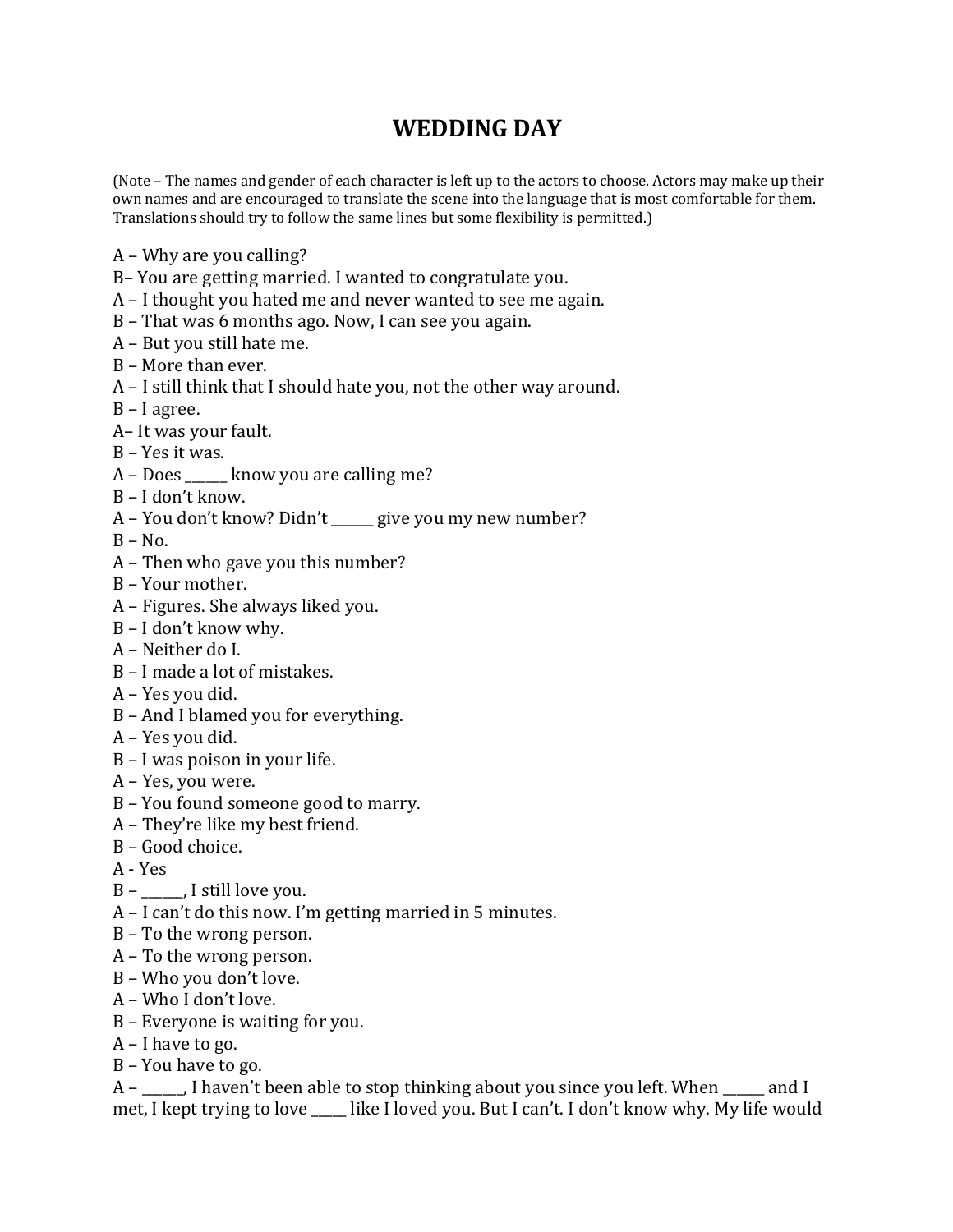## **WEDDING DAY**

(Note – The names and gender of each character is left up to the actors to choose. Actors may make up their own names and are encouraged to translate the scene into the language that is most comfortable for them. Translations should try to follow the same lines but some flexibility is permitted.)

- $A$  Why are you calling?
- B– You are getting married. I wanted to congratulate you.
- $A$  I thought you hated me and never wanted to see me again.
- $B$  That was 6 months ago. Now, I can see you again.
- $A$  But you still hate me.
- $B$  More than ever.
- $A$  I still think that I should hate you, not the other way around.
- $B I$  agree.
- A- It was your fault.
- $B Yes$  it was.
- A Does \_\_\_\_\_\_ know you are calling me?
- B I don't know.
- A You don't know? Didn't \_\_\_\_\_ give you my new number?
- $B No.$
- $A$  Then who gave you this number?
- B Your mother.
- A Figures. She always liked you.
- B I don't know why.
- $A$  Neither do I.
- $B I$  made a lot of mistakes.
- A Yes you did.
- $B$  And I blamed you for everything.
- $A$  Yes you did.
- $B I$  was poison in your life.
- A Yes, you were.
- B You found someone good to marry.
- A They're like my best friend.
- $B Good choice.$
- $A Yes$
- $B$  \_\_\_\_\_, I still love you.
- $A I$  can't do this now. I'm getting married in 5 minutes.
- $B$  To the wrong person.
- $A$  To the wrong person.
- B Who you don't love.
- A Who I don't love.
- $B$  Everyone is waiting for you.
- $A$  I have to go.
- $B$  You have to go.

 $A$  –  $\blacksquare$ , I haven't been able to stop thinking about you since you left. When and I met, I kept trying to love \_\_\_\_ like I loved you. But I can't. I don't know why. My life would